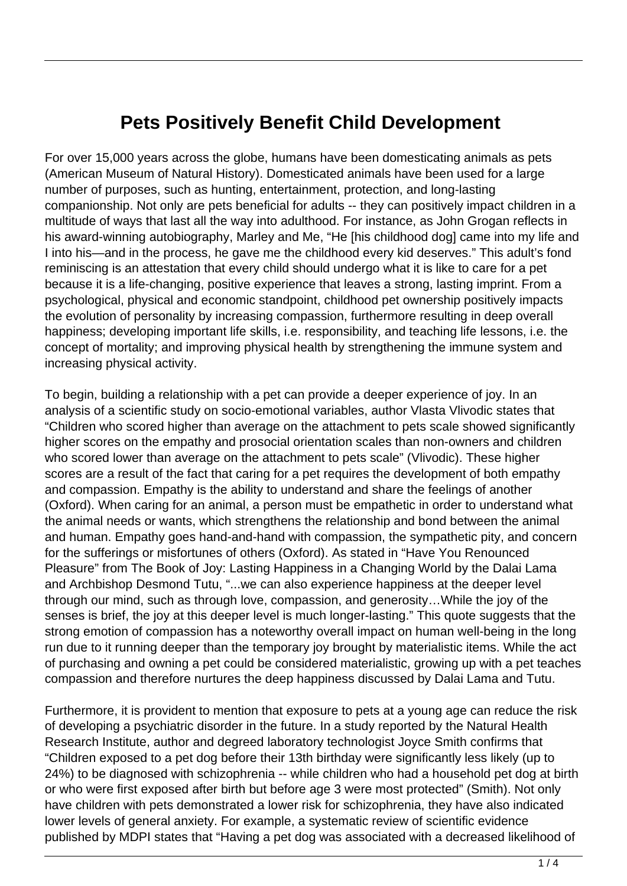## **Pets Positively Benefit Child Development**

For over 15,000 years across the globe, humans have been domesticating animals as pets (American Museum of Natural History). Domesticated animals have been used for a large number of purposes, such as hunting, entertainment, protection, and long-lasting companionship. Not only are pets beneficial for adults -- they can positively impact children in a multitude of ways that last all the way into adulthood. For instance, as John Grogan reflects in his award-winning autobiography, Marley and Me, "He [his childhood dog] came into my life and I into his—and in the process, he gave me the childhood every kid deserves." This adult's fond reminiscing is an attestation that every child should undergo what it is like to care for a pet because it is a life-changing, positive experience that leaves a strong, lasting imprint. From a psychological, physical and economic standpoint, childhood pet ownership positively impacts the evolution of personality by increasing compassion, furthermore resulting in deep overall happiness; developing important life skills, i.e. responsibility, and teaching life lessons, i.e. the concept of mortality; and improving physical health by strengthening the immune system and increasing physical activity.

To begin, building a relationship with a pet can provide a deeper experience of joy. In an analysis of a scientific study on socio-emotional variables, author Vlasta Vlivodic states that "Children who scored higher than average on the attachment to pets scale showed significantly higher scores on the empathy and prosocial orientation scales than non-owners and children who scored lower than average on the attachment to pets scale" (Vlivodic). These higher scores are a result of the fact that caring for a pet requires the development of both empathy and compassion. Empathy is the ability to understand and share the feelings of another (Oxford). When caring for an animal, a person must be empathetic in order to understand what the animal needs or wants, which strengthens the relationship and bond between the animal and human. Empathy goes hand-and-hand with compassion, the sympathetic pity, and concern for the sufferings or misfortunes of others (Oxford). As stated in "Have You Renounced Pleasure" from The Book of Joy: Lasting Happiness in a Changing World by the Dalai Lama and Archbishop Desmond Tutu, "...we can also experience happiness at the deeper level through our mind, such as through love, compassion, and generosity…While the joy of the senses is brief, the joy at this deeper level is much longer-lasting." This quote suggests that the strong emotion of compassion has a noteworthy overall impact on human well-being in the long run due to it running deeper than the temporary joy brought by materialistic items. While the act of purchasing and owning a pet could be considered materialistic, growing up with a pet teaches compassion and therefore nurtures the deep happiness discussed by Dalai Lama and Tutu.

Furthermore, it is provident to mention that exposure to pets at a young age can reduce the risk of developing a psychiatric disorder in the future. In a study reported by the Natural Health Research Institute, author and degreed laboratory technologist Joyce Smith confirms that "Children exposed to a pet dog before their 13th birthday were significantly less likely (up to 24%) to be diagnosed with schizophrenia -- while children who had a household pet dog at birth or who were first exposed after birth but before age 3 were most protected" (Smith). Not only have children with pets demonstrated a lower risk for schizophrenia, they have also indicated lower levels of general anxiety. For example, a systematic review of scientific evidence published by MDPI states that "Having a pet dog was associated with a decreased likelihood of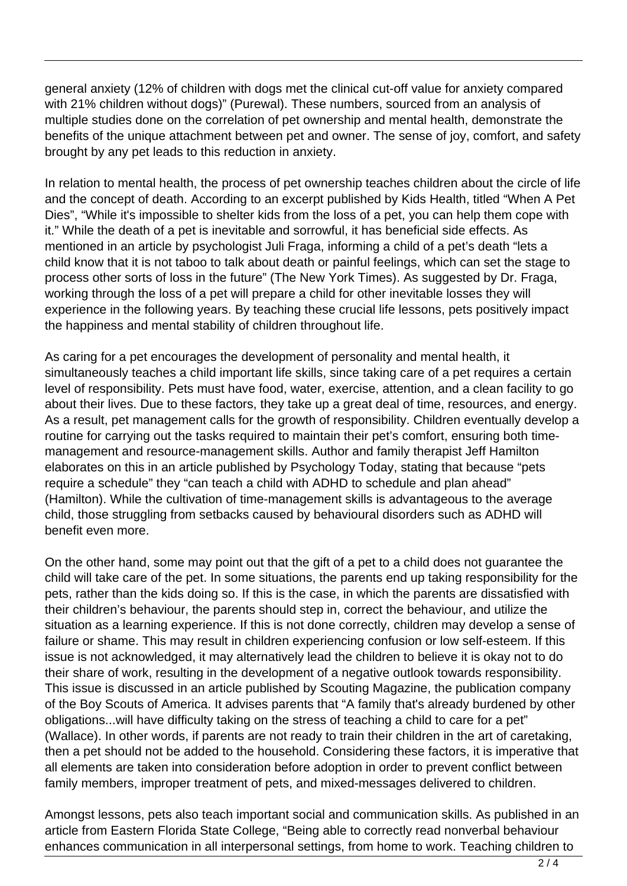general anxiety (12% of children with dogs met the clinical cut-off value for anxiety compared with 21% children without dogs)" (Purewal). These numbers, sourced from an analysis of multiple studies done on the correlation of pet ownership and mental health, demonstrate the benefits of the unique attachment between pet and owner. The sense of joy, comfort, and safety brought by any pet leads to this reduction in anxiety.

In relation to mental health, the process of pet ownership teaches children about the circle of life and the concept of death. According to an excerpt published by Kids Health, titled "When A Pet Dies", "While it's impossible to shelter kids from the loss of a pet, you can help them cope with it." While the death of a pet is inevitable and sorrowful, it has beneficial side effects. As mentioned in an article by psychologist Juli Fraga, informing a child of a pet's death "lets a child know that it is not taboo to talk about death or painful feelings, which can set the stage to process other sorts of loss in the future" (The New York Times). As suggested by Dr. Fraga, working through the loss of a pet will prepare a child for other inevitable losses they will experience in the following years. By teaching these crucial life lessons, pets positively impact the happiness and mental stability of children throughout life.

As caring for a pet encourages the development of personality and mental health, it simultaneously teaches a child important life skills, since taking care of a pet requires a certain level of responsibility. Pets must have food, water, exercise, attention, and a clean facility to go about their lives. Due to these factors, they take up a great deal of time, resources, and energy. As a result, pet management calls for the growth of responsibility. Children eventually develop a routine for carrying out the tasks required to maintain their pet's comfort, ensuring both timemanagement and resource-management skills. Author and family therapist Jeff Hamilton elaborates on this in an article published by Psychology Today, stating that because "pets require a schedule" they "can teach a child with ADHD to schedule and plan ahead" (Hamilton). While the cultivation of time-management skills is advantageous to the average child, those struggling from setbacks caused by behavioural disorders such as ADHD will benefit even more.

On the other hand, some may point out that the gift of a pet to a child does not guarantee the child will take care of the pet. In some situations, the parents end up taking responsibility for the pets, rather than the kids doing so. If this is the case, in which the parents are dissatisfied with their children's behaviour, the parents should step in, correct the behaviour, and utilize the situation as a learning experience. If this is not done correctly, children may develop a sense of failure or shame. This may result in children experiencing confusion or low self-esteem. If this issue is not acknowledged, it may alternatively lead the children to believe it is okay not to do their share of work, resulting in the development of a negative outlook towards responsibility. This issue is discussed in an article published by Scouting Magazine, the publication company of the Boy Scouts of America. It advises parents that "A family that's already burdened by other obligations...will have difficulty taking on the stress of teaching a child to care for a pet" (Wallace). In other words, if parents are not ready to train their children in the art of caretaking, then a pet should not be added to the household. Considering these factors, it is imperative that all elements are taken into consideration before adoption in order to prevent conflict between family members, improper treatment of pets, and mixed-messages delivered to children.

Amongst lessons, pets also teach important social and communication skills. As published in an article from Eastern Florida State College, "Being able to correctly read nonverbal behaviour enhances communication in all interpersonal settings, from home to work. Teaching children to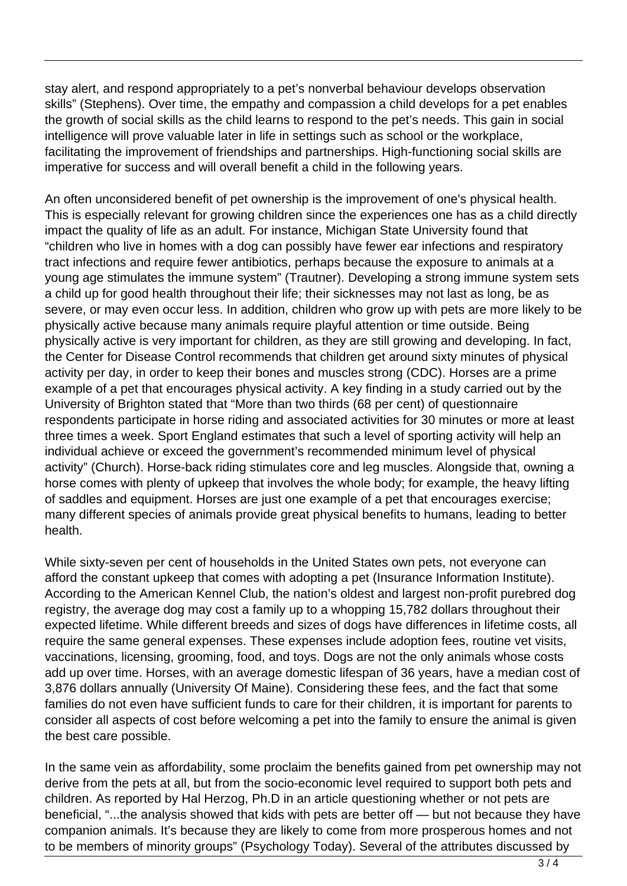stay alert, and respond appropriately to a pet's nonverbal behaviour develops observation skills" (Stephens). Over time, the empathy and compassion a child develops for a pet enables the growth of social skills as the child learns to respond to the pet's needs. This gain in social intelligence will prove valuable later in life in settings such as school or the workplace, facilitating the improvement of friendships and partnerships. High-functioning social skills are imperative for success and will overall benefit a child in the following years.

An often unconsidered benefit of pet ownership is the improvement of one's physical health. This is especially relevant for growing children since the experiences one has as a child directly impact the quality of life as an adult. For instance, Michigan State University found that "children who live in homes with a dog can possibly have fewer ear infections and respiratory tract infections and require fewer antibiotics, perhaps because the exposure to animals at a young age stimulates the immune system" (Trautner). Developing a strong immune system sets a child up for good health throughout their life; their sicknesses may not last as long, be as severe, or may even occur less. In addition, children who grow up with pets are more likely to be physically active because many animals require playful attention or time outside. Being physically active is very important for children, as they are still growing and developing. In fact, the Center for Disease Control recommends that children get around sixty minutes of physical activity per day, in order to keep their bones and muscles strong (CDC). Horses are a prime example of a pet that encourages physical activity. A key finding in a study carried out by the University of Brighton stated that "More than two thirds (68 per cent) of questionnaire respondents participate in horse riding and associated activities for 30 minutes or more at least three times a week. Sport England estimates that such a level of sporting activity will help an individual achieve or exceed the government's recommended minimum level of physical activity" (Church). Horse-back riding stimulates core and leg muscles. Alongside that, owning a horse comes with plenty of upkeep that involves the whole body; for example, the heavy lifting of saddles and equipment. Horses are just one example of a pet that encourages exercise; many different species of animals provide great physical benefits to humans, leading to better health.

While sixty-seven per cent of households in the United States own pets, not everyone can afford the constant upkeep that comes with adopting a pet (Insurance Information Institute). According to the American Kennel Club, the nation's oldest and largest non-profit purebred dog registry, the average dog may cost a family up to a whopping 15,782 dollars throughout their expected lifetime. While different breeds and sizes of dogs have differences in lifetime costs, all require the same general expenses. These expenses include adoption fees, routine vet visits, vaccinations, licensing, grooming, food, and toys. Dogs are not the only animals whose costs add up over time. Horses, with an average domestic lifespan of 36 years, have a median cost of 3,876 dollars annually (University Of Maine). Considering these fees, and the fact that some families do not even have sufficient funds to care for their children, it is important for parents to consider all aspects of cost before welcoming a pet into the family to ensure the animal is given the best care possible.

In the same vein as affordability, some proclaim the benefits gained from pet ownership may not derive from the pets at all, but from the socio-economic level required to support both pets and children. As reported by Hal Herzog, Ph.D in an article questioning whether or not pets are beneficial, "...the analysis showed that kids with pets are better off — but not because they have companion animals. It's because they are likely to come from more prosperous homes and not to be members of minority groups" (Psychology Today). Several of the attributes discussed by